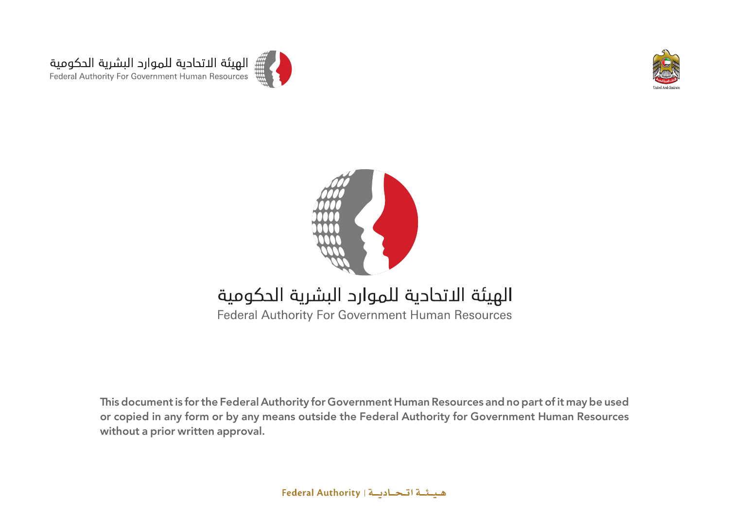





### الهيئة الاتحادية للموارد البشرية الحكومية

**Federal Authority For Government Human Resources** 

This document is for the Federal Authority for Government Human Resources and no part of it may be used or copied in any form or by any means outside the Federal Authority for Government Human Resources without a prior written approval.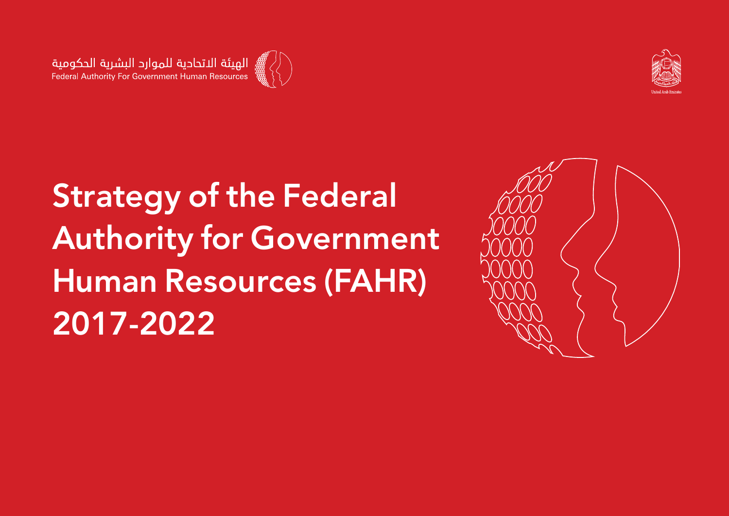

![](_page_1_Picture_2.jpeg)

# **Strategy of the Federal Authority for Government Human Resources (FAHR) 2017-2022**

![](_page_1_Picture_4.jpeg)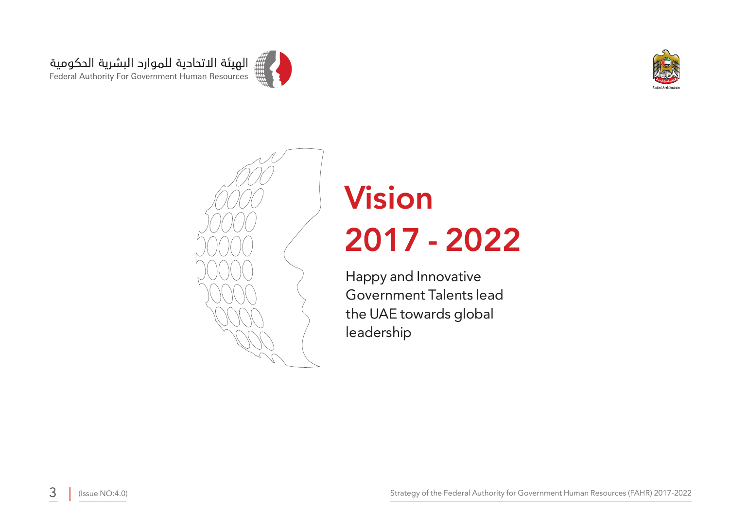![](_page_2_Picture_0.jpeg)

![](_page_2_Picture_1.jpeg)

![](_page_2_Picture_2.jpeg)

# **Vision 2022 - 2017**

Happy and Innovative Government Talents lead the UAE towards global leadership

2017-2022 (Issue NO:4.0) (Issue NO:4.0)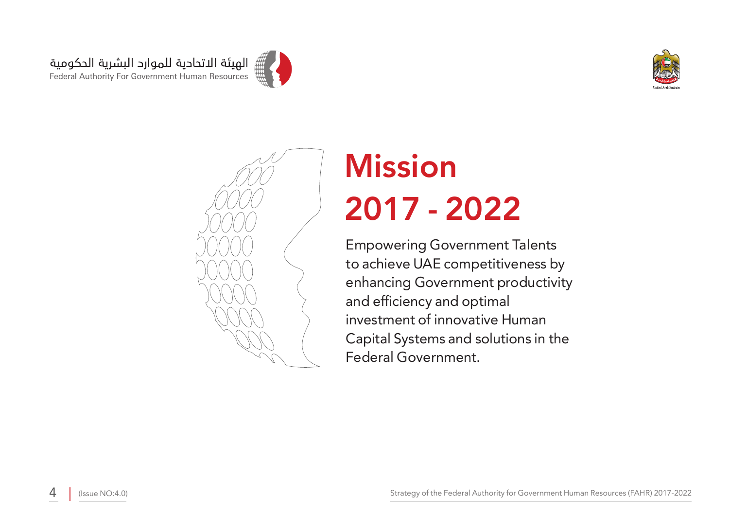![](_page_3_Picture_0.jpeg)

![](_page_3_Picture_1.jpeg)

![](_page_3_Picture_2.jpeg)

# **Mission 2022 - 2017**

**Empowering Government Talents** to achieve UAE competitiveness by enhancing Government productivity and efficiency and optimal investment of innovative Human Capital Systems and solutions in the Federal Government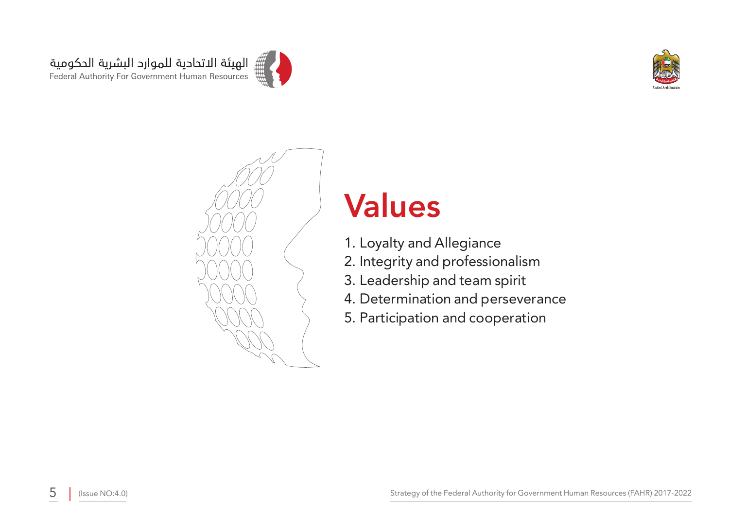![](_page_4_Picture_0.jpeg)

![](_page_4_Picture_1.jpeg)

![](_page_4_Picture_2.jpeg)

## **Values**

- 1. Loyalty and Allegiance
- 2. Integrity and professionalism
- 3. Leadership and team spirit
- 4. Determination and perseverance
- 5. Participation and cooperation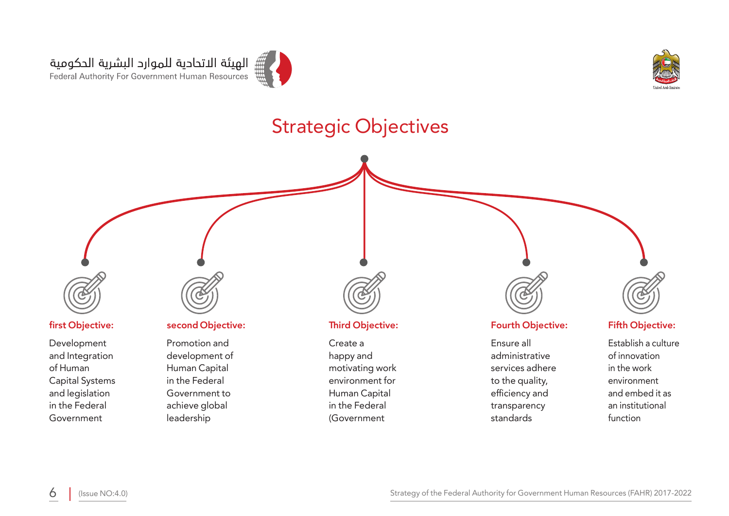![](_page_5_Picture_0.jpeg)

![](_page_5_Picture_1.jpeg)

### **Strategic Objectives**

![](_page_5_Figure_3.jpeg)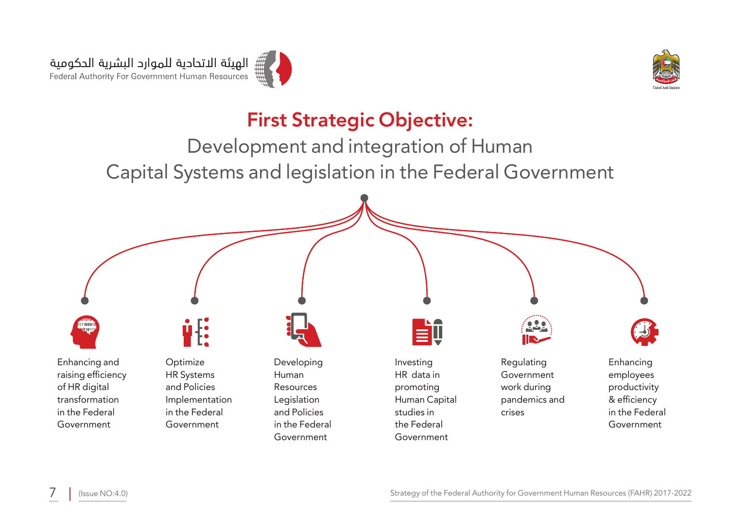![](_page_6_Picture_0.jpeg)

![](_page_6_Picture_1.jpeg)

### **First Strategic Objective:**

Development and integration of Human Capital Systems and legislation in the Federal Government

![](_page_6_Figure_4.jpeg)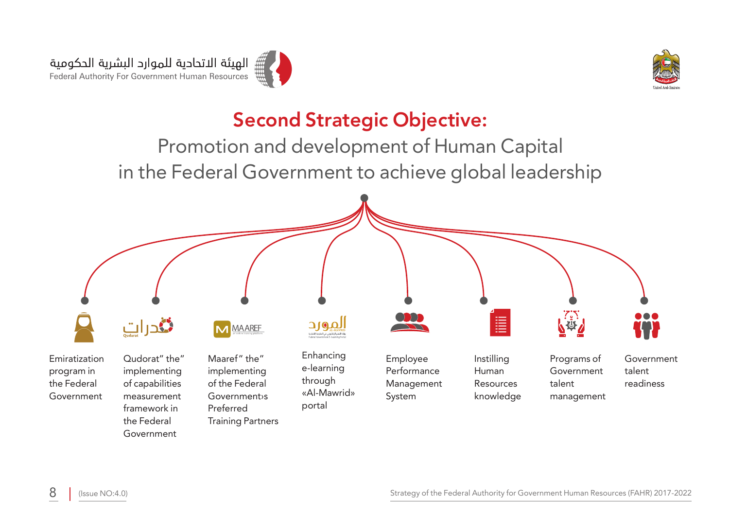![](_page_7_Picture_0.jpeg)

![](_page_7_Picture_1.jpeg)

### **Second Strategic Objective:**

Promotion and development of Human Capital in the Federal Government to achieve global leadership

![](_page_7_Figure_4.jpeg)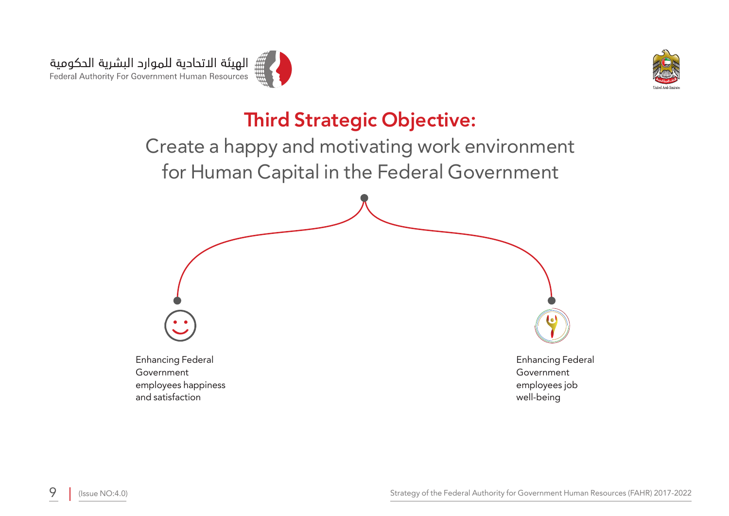![](_page_8_Picture_0.jpeg)

![](_page_8_Picture_1.jpeg)

### **Third Strategic Objective:**

Create a happy and motivating work environment for Human Capital in the Federal Government

![](_page_8_Picture_4.jpeg)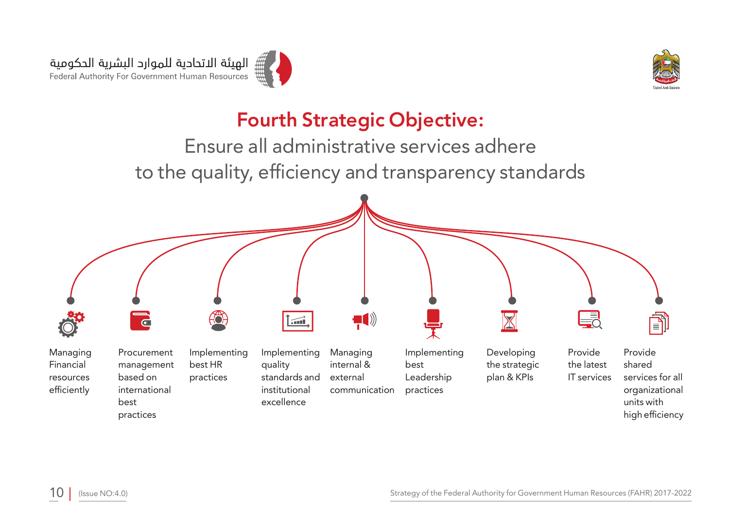![](_page_9_Picture_0.jpeg)

![](_page_9_Picture_1.jpeg)

### **Fourth Strategic Objective:**

Ensure all administrative services adhere to the quality, efficiency and transparency standards

![](_page_9_Figure_4.jpeg)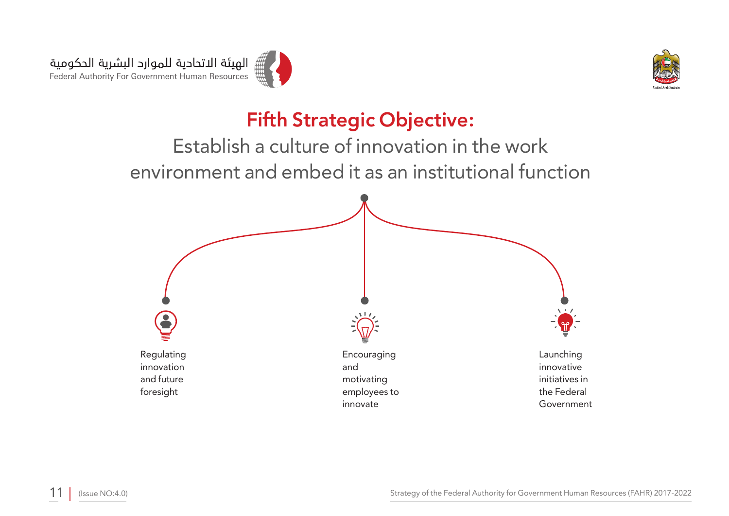![](_page_10_Picture_0.jpeg)

![](_page_10_Picture_1.jpeg)

### **Fifth Strategic Objective:**

Establish a culture of innovation in the work environment and embed it as an institutional function

![](_page_10_Figure_4.jpeg)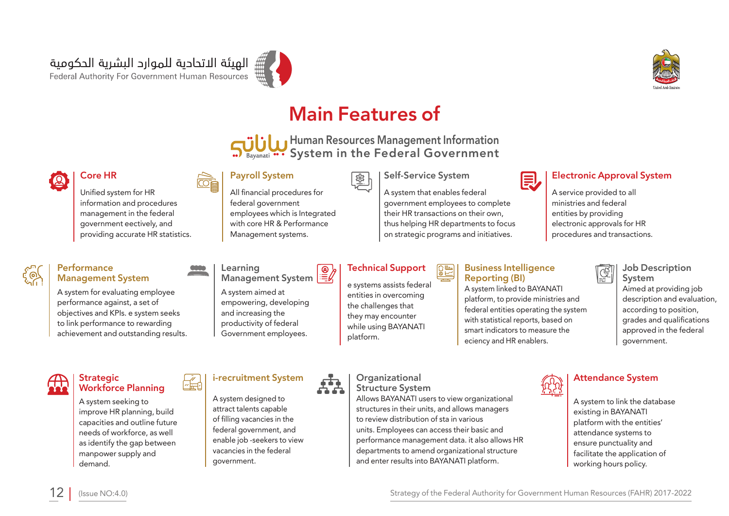![](_page_11_Picture_1.jpeg)

![](_page_11_Picture_2.jpeg)

### **Main Features of**

**Human Resources Management Information** System in the Federal Government

 $\frac{1}{3}$ 

### **Electronic Approval System**

A service provided to all ministries and federal entities by providing electronic approvals for HR procedures and transactions.

匳

### **Job Description System**

Aimed at providing job description and evaluation, according to position, grades and qualifications approved in the federal .government

### **Learning** Management System A system aimed at

**Payroll System** 

All financial procedures for federal government

employees which is Integrated with core HR & Performance Management systems.

empowering, developing and increasing the productivity of federal Government employees.

### **Technical Support**

e systems assists federal entities in overcoming the challenges that they may encounter while using BAYANATI .platform

### **DES**

**Self-Service System** 

A system that enables federal government employees to complete their HR transactions on their own, thus helping HR departments to focus on strategic programs and initiatives.

### **Organizational**

**Structure System** 

Allows BAYANATI users to view organizational structures in their units, and allows managers to review distribution of sta in various units. Employees can access their basic and performance management data. it also allows HR departments to amend organizational structure and enter results into BAYANATI platform.

![](_page_11_Picture_22.jpeg)

**Business Intelligence** 

**目,** 

A system linked to BAYANATI platform, to provide ministries and federal entities operating the system with statistical reports, based on smart indicators to measure the eciency and HR enablers.

**Reporting** (BI)

### **Attendance System**

A system to link the database existing in BAYANATI platform with the entities' attendance systems to ensure punctuality and facilitate the application of working hours policy.

### Core HR

Unified system for HR information and procedures management in the federal government eectively, and providing accurate HR statistics.

### **Performance Management System**

A system for evaluating employee performance against, a set of objectives and KPIs. e system seeks to link performance to rewarding achievement and outstanding results.

### **Strategic**

A system seeking to improve HR planning, build capacities and outline future needs of workforce, as well as identify the gap between manpower supply and .demand

### **Workforce Planning**

A system designed to attract talents capable

**i-recruitment System** 

of filling vacancies in the federal government, and enable job -seekers to view vacancies in the federal .government